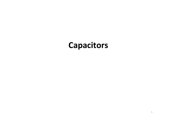## **Capacitors**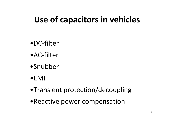# **Use of capacitors in vehicles**

- •DC‐filter
- •AC‐filter
- •Snubber
- •EMI
- •Transient protection/decoupling
- •Reactive power compensation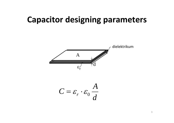# **Capacitor designing parameters**

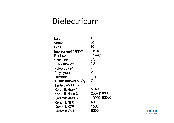## Dielectricum

| 80          |
|-------------|
| 10          |
| 3,5–6       |
| 3,5–4,5     |
| 3,3         |
| 2,8         |
| 2,2         |
| 2,6         |
| 4–8         |
| 7           |
| 11          |
| 5–450       |
| 200–15000   |
| 10000-50000 |
| 60          |
| 1500        |
| 5000        |
|             |

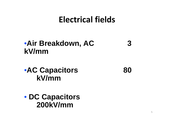# **Electrical fields**

### •**Air Breakdown, AC 3 kV/mm**

•**AC Capacitors 80 kV/mm**

• **DC Capacitors 200kV/mm**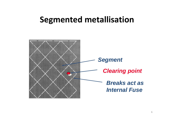# **Segmented metallisation**

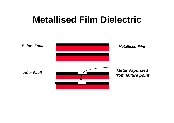# **Metallised Film Dielectric**

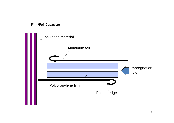### **Film/Foil Capacitor**

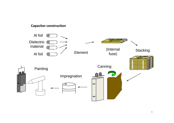#### **Capacitor construction**

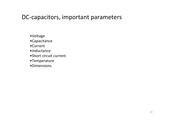### DC-capacitors, important parameters

- •Voltage
- •Capacitance
- •Current
- •Inductance
- •Short circuit current
- •Temperature
- •Dimensions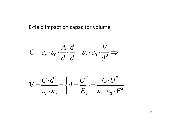### E‐field impact on capacitor volume

$$
C = \varepsilon_r \cdot \varepsilon_0 \cdot \frac{A}{d} \cdot \frac{d}{d} = \varepsilon_r \cdot \varepsilon_0 \cdot \frac{V}{d^2} \Rightarrow
$$

$$
V = \frac{C \cdot d^2}{\varepsilon_r \cdot \varepsilon_0} = \left\{ d = \frac{U}{E} \right\} = \frac{C \cdot U^2}{\varepsilon_r \cdot \varepsilon_0 \cdot E^2}
$$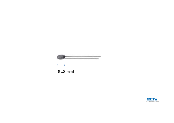

 $\longleftrightarrow$ 

 $5-10$  [mm]

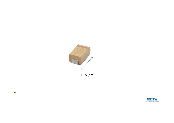

 $1 - 5$  [cm]



 $\bullet$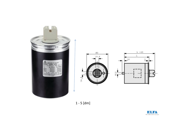





 $1 - 5$  [dm]

∧

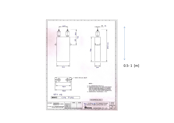

 $0.5 - 1$  [m]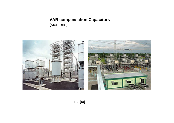### **VAR compensation Capacitors** (siemens)